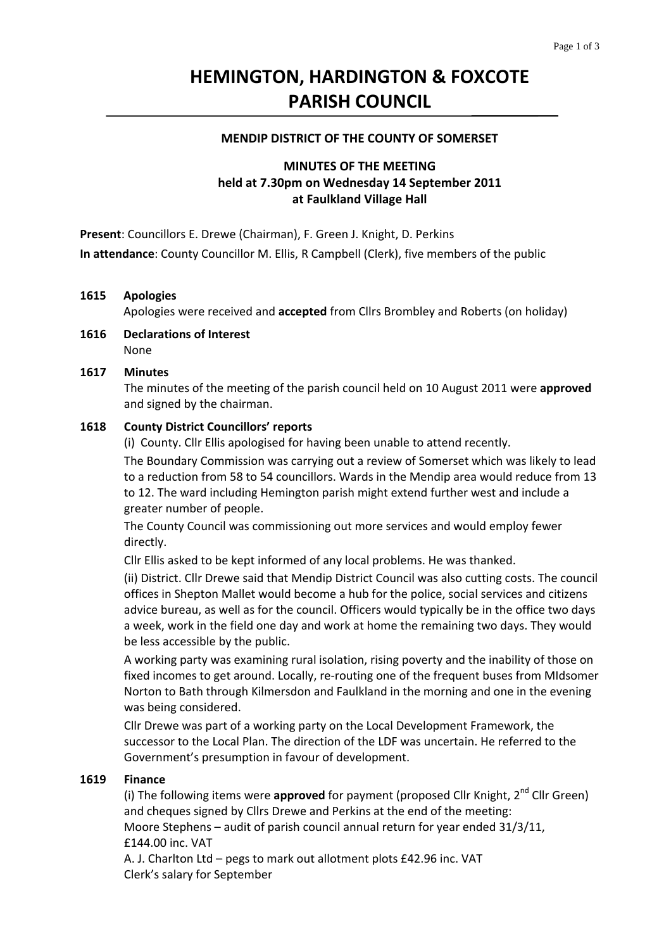# **HEMINGTON, HARDINGTON & FOXCOTE PARISH COUNCIL**

#### **MENDIP DISTRICT OF THE COUNTY OF SOMERSET**

# **MINUTES OF THE MEETING held at 7.30pm on Wednesday 14 September 2011 at Faulkland Village Hall**

**Present**: Councillors E. Drewe (Chairman), F. Green J. Knight, D. Perkins **In attendance**: County Councillor M. Ellis, R Campbell (Clerk), five members of the public

#### **1615 Apologies**

Apologies were received and **accepted** from Cllrs Brombley and Roberts (on holiday)

**1616 Declarations of Interest** None

#### **1617 Minutes**

 The minutes of the meeting of the parish council held on 10 August 2011 were **approved** and signed by the chairman.

#### **1618 County District Councillors' reports**

(i) County. Cllr Ellis apologised for having been unable to attend recently.

The Boundary Commission was carrying out a review of Somerset which was likely to lead to a reduction from 58 to 54 councillors. Wards in the Mendip area would reduce from 13 to 12. The ward including Hemington parish might extend further west and include a greater number of people.

 The County Council was commissioning out more services and would employ fewer directly.

Cllr Ellis asked to be kept informed of any local problems. He was thanked.

 (ii) District. Cllr Drewe said that Mendip District Council was also cutting costs. The council offices in Shepton Mallet would become a hub for the police, social services and citizens advice bureau, as well as for the council. Officers would typically be in the office two days a week, work in the field one day and work at home the remaining two days. They would be less accessible by the public.

 A working party was examining rural isolation, rising poverty and the inability of those on fixed incomes to get around. Locally, re-routing one of the frequent buses from MIdsomer Norton to Bath through Kilmersdon and Faulkland in the morning and one in the evening was being considered.

 Cllr Drewe was part of a working party on the Local Development Framework, the successor to the Local Plan. The direction of the LDF was uncertain. He referred to the Government's presumption in favour of development.

#### **1619 Finance**

(i) The following items were approved for payment (proposed Cllr Knight, 2<sup>nd</sup> Cllr Green) and cheques signed by Cllrs Drewe and Perkins at the end of the meeting: Moore Stephens – audit of parish council annual return for year ended 31/3/11,

£144.00 inc. VAT

A. J. Charlton Ltd – pegs to mark out allotment plots £42.96 inc. VAT Clerk's salary for September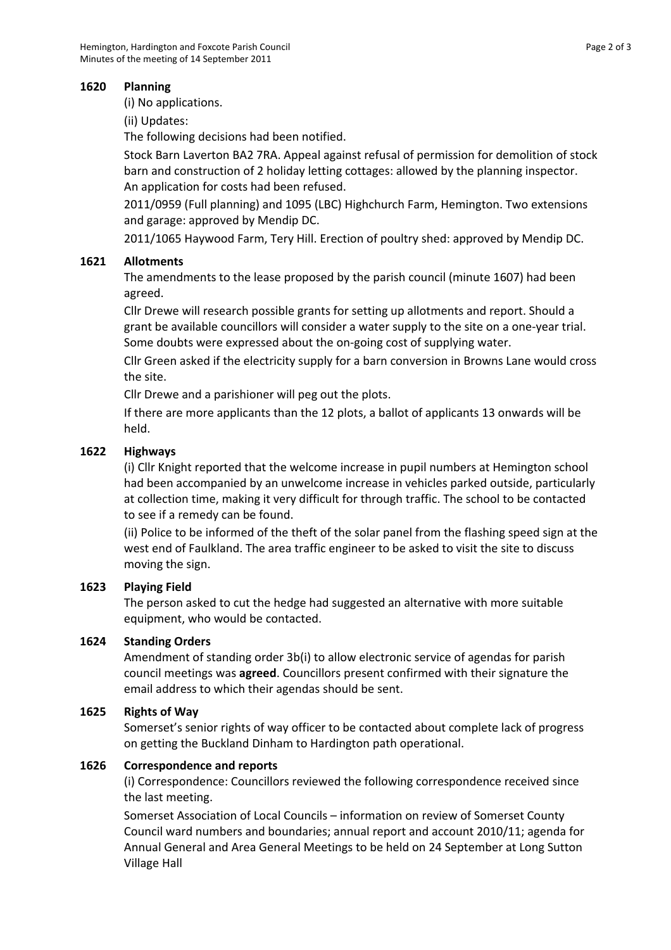## **1620 Planning**

(i) No applications.

 (ii) Updates:

The following decisions had been notified.

 Stock Barn Laverton BA2 7RA. Appeal against refusal of permission for demolition of stock barn and construction of 2 holiday letting cottages: allowed by the planning inspector. An application for costs had been refused.

 2011/0959 (Full planning) and 1095 (LBC) Highchurch Farm, Hemington. Two extensions and garage: approved by Mendip DC.

2011/1065 Haywood Farm, Tery Hill. Erection of poultry shed: approved by Mendip DC.

## **1621 Allotments**

The amendments to the lease proposed by the parish council (minute 1607) had been agreed.

 Cllr Drewe will research possible grants for setting up allotments and report. Should a grant be available councillors will consider a water supply to the site on a one‐year trial. Some doubts were expressed about the on‐going cost of supplying water.

 Cllr Green asked if the electricity supply for a barn conversion in Browns Lane would cross the site.

Cllr Drewe and a parishioner will peg out the plots.

 If there are more applicants than the 12 plots, a ballot of applicants 13 onwards will be held.

## **1622 Highways**

(i) Cllr Knight reported that the welcome increase in pupil numbers at Hemington school had been accompanied by an unwelcome increase in vehicles parked outside, particularly at collection time, making it very difficult for through traffic. The school to be contacted to see if a remedy can be found.

 (ii) Police to be informed of the theft of the solar panel from the flashing speed sign at the west end of Faulkland. The area traffic engineer to be asked to visit the site to discuss moving the sign.

## **1623 Playing Field**

The person asked to cut the hedge had suggested an alternative with more suitable equipment, who would be contacted.

## **1624 Standing Orders**

Amendment of standing order 3b(i) to allow electronic service of agendas for parish council meetings was **agreed**. Councillors present confirmed with their signature the email address to which their agendas should be sent.

# **1625 Rights of Way**

Somerset's senior rights of way officer to be contacted about complete lack of progress on getting the Buckland Dinham to Hardington path operational.

## **1626 Correspondence and reports**

(i) Correspondence: Councillors reviewed the following correspondence received since the last meeting.

 Somerset Association of Local Councils – information on review of Somerset County Council ward numbers and boundaries; annual report and account 2010/11; agenda for Annual General and Area General Meetings to be held on 24 September at Long Sutton Village Hall